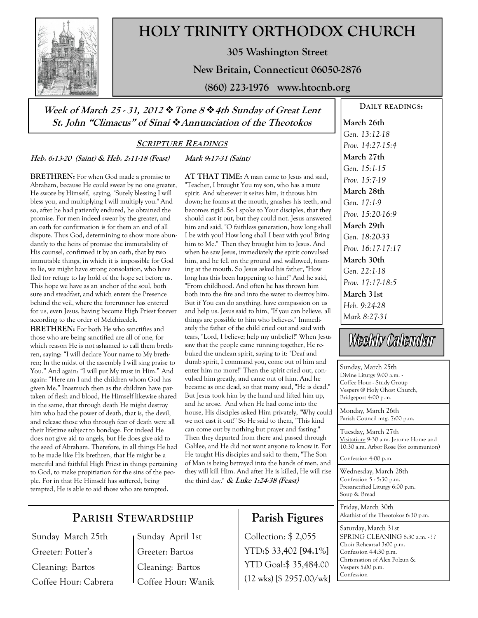

# **HOLY TRINITY ORTHODOX CHURCH**

**305 Washington Street** 

**New Britain, Connecticut 06050-2876** 

**(860) 223-1976 www.htocnb.org** 

**Week of March 25 - 31, 2012 Tone 8 4th Sunday of Great Lent St. John "Climacus" of Sinai Annunciation of the Theotokos** 

### **SCRIPTURE READINGS**

**Mark 9:17-31 (Saint)** 

**Heb. 6:13-20 (Saint) & Heb. 2:11-18 (Feast)** 

**BRETHREN:** For when God made a promise to Abraham, because He could swear by no one greater, He swore by Himself, saying, "Surely blessing I will bless you, and multiplying I will multiply you." And so, after he had patiently endured, he obtained the promise. For men indeed swear by the greater, and an oath for confirmation is for them an end of all dispute. Thus God, determining to show more abundantly to the heirs of promise the immutability of His counsel, confirmed it by an oath, that by two immutable things, in which it is impossible for God to lie, we might have strong consolation, who have fled for refuge to lay hold of the hope set before us. This hope we have as an anchor of the soul, both sure and steadfast, and which enters the Presence behind the veil, where the forerunner has entered for us, even Jesus, having become High Priest forever according to the order of Melchizedek.

**BRETHREN:** For both He who sanctifies and those who are being sanctified are all of one, for which reason He is not ashamed to call them brethren, saying: "I will declare Your name to My brethren; In the midst of the assembly I will sing praise to You." And again: "I will put My trust in Him." And again: "Here am I and the children whom God has given Me." Inasmuch then as the children have partaken of flesh and blood, He Himself likewise shared in the same, that through death He might destroy him who had the power of death, that is, the devil, and release those who through fear of death were all their lifetime subject to bondage. For indeed He does not give aid to angels, but He does give aid to the seed of Abraham. Therefore, in all things He had to be made like His brethren, that He might be a merciful and faithful High Priest in things pertaining to God, to make propitiation for the sins of the people. For in that He Himself has suffered, being tempted, He is able to aid those who are tempted.

**AT THAT TIME:** A man came to Jesus and said, "Teacher, I brought You my son, who has a mute spirit. And wherever it seizes him, it throws him down; he foams at the mouth, gnashes his teeth, and becomes rigid. So I spoke to Your disciples, that they should cast it out, but they could not. Jesus answered him and said, "O faithless generation, how long shall I be with you? How long shall I bear with you? Bring him to Me." Then they brought him to Jesus. And when he saw Jesus, immediately the spirit convulsed him, and he fell on the ground and wallowed, foaming at the mouth. So Jesus asked his father, "How long has this been happening to him?" And he said, "From childhood. And often he has thrown him both into the fire and into the water to destroy him. But if You can do anything, have compassion on us and help us. Jesus said to him, "If you can believe, all things are possible to him who believes." Immediately the father of the child cried out and said with tears, "Lord, I believe; help my unbelief!" When Jesus saw that the people came running together, He rebuked the unclean spirit, saying to it: "Deaf and dumb spirit, I command you, come out of him and enter him no more!" Then the spirit cried out, convulsed him greatly, and came out of him. And he became as one dead, so that many said, "He is dead." But Jesus took him by the hand and lifted him up, and he arose. And when He had come into the house, His disciples asked Him privately, "Why could we not cast it out?" So He said to them, "This kind can come out by nothing but prayer and fasting." Then they departed from there and passed through Galilee, and He did not want anyone to know it. For He taught His disciples and said to them, "The Son of Man is being betrayed into the hands of men, and they will kill Him. And after He is killed, He will rise the third day." **& Luke 1:24-38 (Feast)**

# **PARISH STEWARDSHIP**

Sunday March 25th Greeter: Potter's Cleaning: Bartos Coffee Hour: Cabrera Sunday April 1st Greeter: Bartos Cleaning: Bartos Coffee Hour: Wanik

# **Parish Figures**

Collection: \$ 2,055 YTD:\$ 33,402 **[94.1%]** YTD Goal:\$ 35,484.00 (12 wks) [\$ 2957.00/wk]

**DAILY READINGS: March 26th**  *Gen. 13:12-18 Prov. 14:27-15:4*  **March 27th**  *Gen. 15:1-15 Prov. 15:7-19*  **March 28th**  *Gen. 17:1-9 Prov. 15:20-16:9*  **March 29th**  *Gen. 18:20-33 Prov. 16:17-17:17*  **March 30th**  *Gen. 22:1-18 Prov. 17:17-18:5*  **March 31st**  *Heb. 9:24-28 Mark 8:27-31* 

# Weekly Calendar

Sunday, March 25th Divine Liturgy 9:00 a.m. - Coffee Hour - Study Group Vespers @ Holy Ghost Church, Bridgeport 4:00 p.m.

Monday, March 26th Parish Council mtg. 7:00 p.m.

Tuesday, March 27th Visitation: 9:30 a.m. Jerome Home and 10:30 a.m. Arbor Rose (for communion)

Confession 4:00 p.m.

Wednesday, March 28th Confession 5 - 5:30 p.m. Presanctified Liturgy 6:00 p.m. Soup & Bread

Friday, March 30th Akathist of the Theotokos 6:30 p.m.

Saturday, March 31st SPRING CLEANING 8:30 a.m. -?? Choir Rehearsal 3:00 p.m. Confession 4-4:30 p.m. Chrismation of Alex Polzun & Vespers 5:00 p.m. Confession